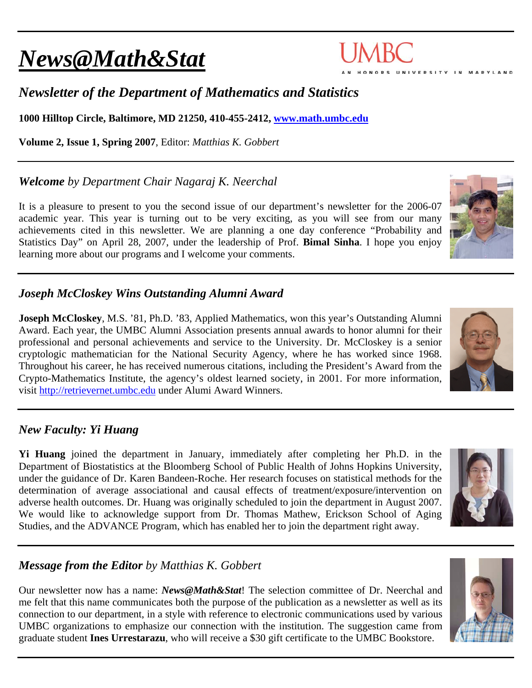# *News@Math&Stat*

## *Newsletter of the Department of Mathematics and Statistics*

**1000 Hilltop Circle, Baltimore, MD 21250, 410-455-2412, www.math.umbc.edu**

**Volume 2, Issue 1, Spring 2007**, Editor: *Matthias K. Gobbert* 

*Welcome by Department Chair Nagaraj K. Neerchal*

It is a pleasure to present to you the second issue of our department's newsletter for the 2006-07 academic year. This year is turning out to be very exciting, as you will see from our many achievements cited in this newsletter. We are planning a one day conference "Probability and Statistics Day" on April 28, 2007, under the leadership of Prof. **Bimal Sinha**. I hope you enjoy learning more about our programs and I welcome your comments.

## *Joseph McCloskey Wins Outstanding Alumni Award*

**Joseph McCloskey**, M.S. '81, Ph.D. '83, Applied Mathematics, won this year's Outstanding Alumni Award. Each year, the UMBC Alumni Association presents annual awards to honor alumni for their professional and personal achievements and service to the University. Dr. McCloskey is a senior cryptologic mathematician for the National Security Agency, where he has worked since 1968. Throughout his career, he has received numerous citations, including the President's Award from the Crypto-Mathematics Institute, the agency's oldest learned society, in 2001. For more information, visit http://retrievernet.umbc.edu under Alumi Award Winners.

## *New Faculty: Yi Huang*

**Yi Huang** joined the department in January, immediately after completing her Ph.D. in the Department of Biostatistics at the Bloomberg School of Public Health of Johns Hopkins University, under the guidance of Dr. Karen Bandeen-Roche. Her research focuses on statistical methods for the determination of average associational and causal effects of treatment/exposure/intervention on adverse health outcomes. Dr. Huang was originally scheduled to join the department in August 2007. We would like to acknowledge support from Dr. Thomas Mathew, Erickson School of Aging Studies, and the ADVANCE Program, which has enabled her to join the department right away.

## *Message from the Editor by Matthias K. Gobbert*

Our newsletter now has a name: *News@Math&Stat*! The selection committee of Dr. Neerchal and me felt that this name communicates both the purpose of the publication as a newsletter as well as its connection to our department, in a style with reference to electronic communications used by various UMBC organizations to emphasize our connection with the institution. The suggestion came from graduate student **Ines Urrestarazu**, who will receive a \$30 gift certificate to the UMBC Bookstore.









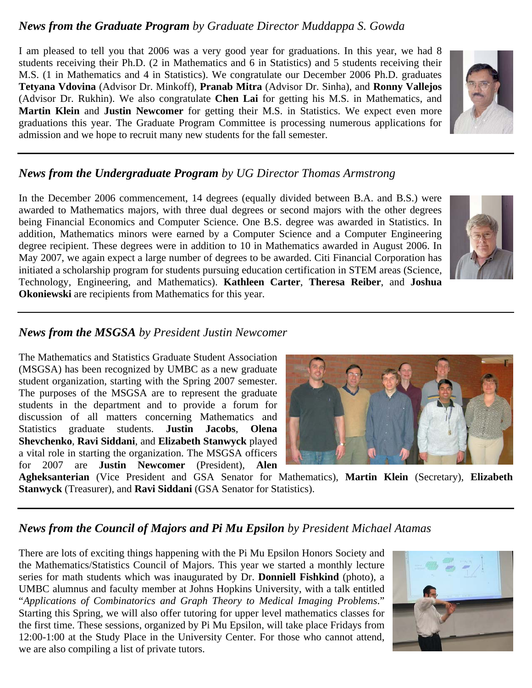#### *News from the Graduate Program by Graduate Director Muddappa S. Gowda*

I am pleased to tell you that 2006 was a very good year for graduations. In this year, we had 8 students receiving their Ph.D. (2 in Mathematics and 6 in Statistics) and 5 students receiving their M.S. (1 in Mathematics and 4 in Statistics). We congratulate our December 2006 Ph.D. graduates **Tetyana Vdovina** (Advisor Dr. Minkoff), **Pranab Mitra** (Advisor Dr. Sinha), and **Ronny Vallejos** (Advisor Dr. Rukhin). We also congratulate **Chen Lai** for getting his M.S. in Mathematics, and **Martin Klein** and **Justin Newcomer** for getting their M.S. in Statistics. We expect even more graduations this year. The Graduate Program Committee is processing numerous applications for admission and we hope to recruit many new students for the fall semester.

## *News from the Undergraduate Program by UG Director Thomas Armstrong*

In the December 2006 commencement, 14 degrees (equally divided between B.A. and B.S.) were awarded to Mathematics majors, with three dual degrees or second majors with the other degrees being Financial Economics and Computer Science. One B.S. degree was awarded in Statistics. In addition, Mathematics minors were earned by a Computer Science and a Computer Engineering degree recipient. These degrees were in addition to 10 in Mathematics awarded in August 2006. In May 2007, we again expect a large number of degrees to be awarded. Citi Financial Corporation has initiated a scholarship program for students pursuing education certification in STEM areas (Science, Technology, Engineering, and Mathematics). **Kathleen Carter**, **Theresa Reiber**, and **Joshua Okoniewski** are recipients from Mathematics for this year.

#### *News from the MSGSA by President Justin Newcomer*

The Mathematics and Statistics Graduate Student Association (MSGSA) has been recognized by UMBC as a new graduate student organization, starting with the Spring 2007 semester. The purposes of the MSGSA are to represent the graduate students in the department and to provide a forum for discussion of all matters concerning Mathematics and Statistics graduate students. **Justin Jacobs**, **Olena Shevchenko**, **Ravi Siddani**, and **Elizabeth Stanwyck** played a vital role in starting the organization. The MSGSA officers for 2007 are **Justin Newcomer** (President), **Alen** 

**Agheksanterian** (Vice President and GSA Senator for Mathematics), **Martin Klein** (Secretary), **Elizabeth Stanwyck** (Treasurer), and **Ravi Siddani** (GSA Senator for Statistics).

#### *News from the Council of Majors and Pi Mu Epsilon by President Michael Atamas*

There are lots of exciting things happening with the Pi Mu Epsilon Honors Society and the Mathematics/Statistics Council of Majors. This year we started a monthly lecture series for math students which was inaugurated by Dr. **Donniell Fishkind** (photo), a UMBC alumnus and faculty member at Johns Hopkins University, with a talk entitled "*Applications of Combinatorics and Graph Theory to Medical Imaging Problems*." Starting this Spring, we will also offer tutoring for upper level mathematics classes for the first time. These sessions, organized by Pi Mu Epsilon, will take place Fridays from 12:00-1:00 at the Study Place in the University Center. For those who cannot attend, we are also compiling a list of private tutors.







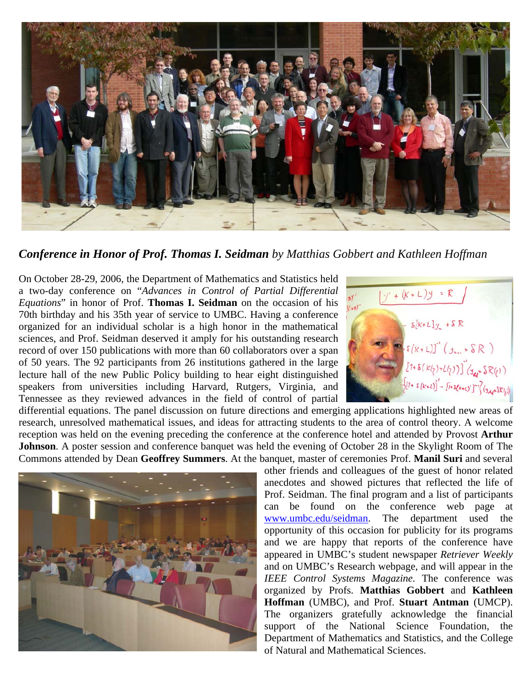

*Conference in Honor of Prof. Thomas I. Seidman by Matthias Gobbert and Kathleen Hoffman* 

On October 28-29, 2006, the Department of Mathematics and Statistics held a two-day conference on "*Advances in Control of Partial Differential Equations*" in honor of Prof. **Thomas I. Seidman** on the occasion of his 70th birthday and his 35th year of service to UMBC. Having a conference organized for an individual scholar is a high honor in the mathematical sciences, and Prof. Seidman deserved it amply for his outstanding research record of over 150 publications with more than 60 collaborators over a span of 50 years. The 92 participants from 26 institutions gathered in the large lecture hall of the new Public Policy building to hear eight distinguished speakers from universities including Harvard, Rutgers, Virginia, and Tennessee as they reviewed advances in the field of control of partial



differential equations. The panel discussion on future directions and emerging applications highlighted new areas of research, unresolved mathematical issues, and ideas for attracting students to the area of control theory. A welcome reception was held on the evening preceding the conference at the conference hotel and attended by Provost **Arthur Johnson**. A poster session and conference banquet was held the evening of October 28 in the Skylight Room of The Commons attended by Dean **Geoffrey Summers**. At the banquet, master of ceremonies Prof. **Manil Suri** and several



other friends and colleagues of the guest of honor related anecdotes and showed pictures that reflected the life of Prof. Seidman. The final program and a list of participants can be found on the conference web page at www.umbc.edu/seidman. The department used the opportunity of this occasion for publicity for its programs and we are happy that reports of the conference have appeared in UMBC's student newspaper *Retriever Weekly* and on UMBC's Research webpage, and will appear in the *IEEE Control Systems Magazine.* The conference was organized by Profs. **Matthias Gobbert** and **Kathleen Hoffman** (UMBC), and Prof. **Stuart Antman** (UMCP). The organizers gratefully acknowledge the financial support of the National Science Foundation, the Department of Mathematics and Statistics, and the College of Natural and Mathematical Sciences.